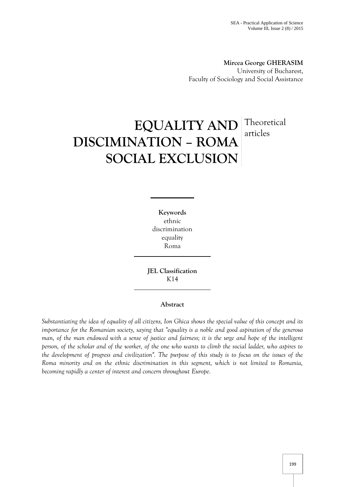**Mircea George GHERASIM** University of Bucharest, Faculty of Sociology and Social Assistance

# **EQUALITY AND** Theoretical **DISCIMINATION – ROMA SOCIAL EXCLUSION** Theoretical articles

**Keywords** ethnic discrimination equality Roma

**JEL Classification** K14

## **Abstract**

*Substantiating the idea of equality of all citizens, Ion Ghica shows the special value of this concept and its importance for the Romanian society, saying that "equality is a noble and good aspiration of the generous man, of the man endowed with a sense of justice and fairness; it is the urge and hope of the intelligent person, of the scholar and of the worker, of the one who wants to climb the social ladder, who aspires to the development of progress and civilization". The purpose of this study is to focus on the issues of the Roma minority and on the ethnic discrimination in this segment, which is not limited to Romania, becoming rapidly a center of interest and concern throughout Europe.*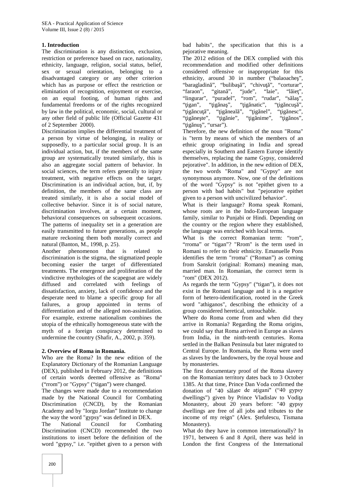## **1. Introduction**

The discrimination is any distinction, exclusion, restriction or preference based on race, nationality, ethnicity, language, religion, social status, belief, sex or sexual orientation, belonging to a disadvantaged category or any other criterion which has as purpose or effect the restriction or elimination of recognition, enjoyment or exercise, on an equal footing, of human rights and fundamental freedoms or of the rights recognized by law in the political, economic, social, cultural or any other field of public life (Official Gazette 431 of 2 September 2000).

Discrimination implies the differential treatment of a person by virtue of belonging, in reality or supposedly, to a particular social group. It is an individual action, but, if the members of the same group are systematically treated similarly, this is also an aggregate social pattern of behavior. In social sciences, the term refers generally to injury treatment, with negative effects on the target. Discrimination is an individual action, but, if, by definition, the members of the same class are treated similarly, it is also a social model of collective behavior. Since it is of social nature, discrimination involves, at a certain moment, behavioral consequences on subsequent occasions. The patterns of inequality set in a generation are easily transmitted to future generations, as people mature reckoning them both morally correct and natural (Banton, M., 1998, p. 25).

Another phenomenon that is related to discrimination is the stigma, the stigmatized people becoming easier the target of differentiated treatments. The emergence and proliferation of the vindictive mythologies of the scapegoat are widely diffused and correlated with feelings of dissatisfaction, anxiety, lack of confidence and the desperate need to blame a specific group for all failures, a group appointed in terms of differentiation and of the alleged non-assimilation. For example, extreme nationalism combines the utopia of the ethnically homogeneous state with the myth of a foreign conspiracy determined to undermine the country (Shafir, A., 2002, p. 359).

### **2. Overview of Roma in Romania.**

Who are the Roma? In the new edition of the Explanatory Dictionary of the Romanian Language (DEX), published in February 2012, the definitions of certain words deemed offensive as "Roma" ("rrom") or "Gypsy" ("tigan") were changed.

The changes were made due to a recommendation made by the National Council for Combating Discrimination (CNCD), by the Romanian Academy and by "Iorgu Jordan" Institute to change the way the word "gypsy" was defined in DEX.

The National Council for Combating Discrimination (CNCD) recommended the two institutions to insert before the definition of the word "gypsy," i.e. "epithet given to a person with

bad habits", the specification that this is a pejorative meaning.

The 2012 edition of the DEX complied with this recommendation and modified other definitions considered offensive or inappropriate for this ethnicity, around 30 in number ("balaoache", "baragladin ", "buliba ", "chivu ", "corturar" "faraon", "gitan", "jude", "laie", "läe", "lingurar", "puradel", "rom", "rudar", "s la", " $igan$ ", " $igina$ ", " $ignaiic$ ", " $igncu$ ", "ig ncu ", "ig neal", "ig nel", "ig nesc", "ig ne te", "ig nie", "ig nime", "ig nos", " $i$ g nu ", "ursar").

Therefore, the new definition of the noun "Roma" is "term by means of which the members of an ethnic group originating in India and spread especially in Southern and Eastern Europe identify themselves, replacing the name Gypsy, considered pejorative". In addition, in the new edition of DEX, the two words "Roma" and "Gypsy" are not synonymous anymore. Now, one of the definitions of the word "Gypsy" is not "epithet given to a person with bad habits" but "pejorative epithet given to a person with uncivilized behavior".

What is their language? Roma speak Romani, whose roots are in the Indo-European language family, similar to Punjabi or Hindi. Depending on the country or the region where they established, the language was enriched with local terms.

What is the correct Romanian term: "rom", "rroma" or "tigan"? "Rrom" is the term used in Romani to refer to their ethnicity. Emanuelle Pons identifies the term "rroma" ("Roman") as coming from Sanskrit (original: Romans) meaning man, married man. In Romanian, the correct term is "rom" (DEX 2012).

As regards the term "Gypsy" ("tigan"), it does not exist in the Romani language and it is a negative form of hetero-identification, rooted in the Greek word "athiganos", describing the ethnicity of a group considered heretical, untouchable.

Where do Roma come from and when did they arrive in Romania? Regarding the Roma origins, we could say that Roma arrived in Europe as slaves from India, in the ninth-tenth centuries. Roma settled in the Balkan Peninsula but later migrated to Central Europe. In Romania, the Roma were used as slaves by the landowners, by the royal house and by monasteries.

The first documentary proof of the Roma slavery on the Romanian territory dates back to 3 October 1385. At that time, Prince Dan Voda confirmed the donation of "40 s lașe de ațigani" ("40 gypsy dwellings") given by Prince Vladislav to Vodi a Monastery, about 20 years before: "40 gypsy dwellings are free of all jobs and tributes to the income of my reign" (Alex. tefulescu, Tismana Monastery).

What do they have in common internationally? In 1971, between 6 and 8 April, there was held in London the first Congress of the International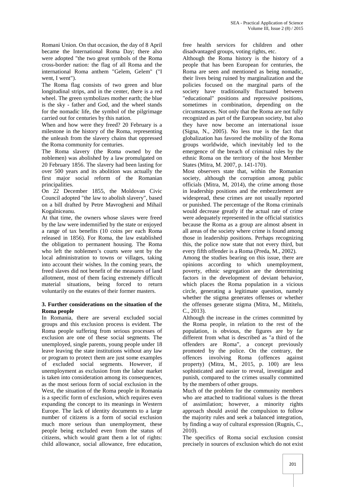Romani Union. On that occasion, the day of 8 April became the International Roma Day; there also were adopted "the two great symbols of the Roma cross-border nation: the flag of all Roma and the international Roma anthem "Gelem, Gelem" ("I went, I went").

The Roma flag consists of two green and blue longitudinal strips, and in the center, there is a red wheel. The green symbolizes mother earth; the blue is the sky - father and God, and the wheel stands for the nomadic life, the symbol of the pilgrimage carried out for centuries by this nation.

When and how were they freed? 20 February is a milestone in the history of the Roma, representing the unleash from the slavery chains that oppressed the Roma community for centuries.

The Roma slavery (the Roma owned by the noblemen) was abolished by a law promulgated on 20 February 1856. The slavery had been lasting for over 500 years and its abolition was actually the first major social reform of the Romanian principalities.

On 22 December 1855, the Moldovan Civic Council adopted "the law to abolish slavery", based on a bill drafted by Petre Mavrogheni and Mihail Kogalniceanu.

At that time, the owners whose slaves were freed by the law were indemnified by the state or enjoyed a range of tax benefits (10 coins per each Roma released in 1856). For Roma, the law established the obligation to permanent housing. The Roma who left the noblemen's courts were sent by the local administration to towns or villages, taking into account their wishes. In the coming years, the freed slaves did not benefit of the measures of land allotment, most of them facing extremely difficult material situations, being forced to return voluntarily on the estates of their former masters.

### **3. Further considerations on the situation of the Roma people**

In Romania, there are several excluded social groups and this exclusion process is evident. The Roma people suffering from serious processes of exclusion are one of these social segments. The unemployed, single parents, young people under 18 leave leaving the state institutions without any law or program to protect them are just some examples of excluded social segments. However, if unemployment as exclusion from the labor market is taken into consideration among its consequences, as the most serious form of social exclusion in the West, the situation of the Roma people in Romania is a specific form of exclusion, which requires even expanding the concept to its meanings in Western Europe. The lack of identity documents to a large number of citizens is a form of social exclusion much more serious than unemployment, these people being excluded even from the status of citizens, which would grant them a lot of rights: child allowance, social allowance, free education,

free health services for children and other disadvantaged groups, voting rights, etc.

Although the Roma history is the history of a people that has been European for centuries, the Roma are seen and mentioned as being nomadic, their lives being ruined by marginalization and the policies focused on the marginal parts of the society have traditionally fluctuated between "educational" positions and repressive positions, sometimes in combination, depending on the circumstances. Not only that the Roma are not fully recognized as part of the European society, but also they have now become an international issue (Signa, N., 2005). No less true is the fact that globalization has favored the mobility of the Roma groups worldwide, which inevitably led to the emergence of the breach of criminal rules by the ethnic Roma on the territory of the host Member States (Mitra, M. 2007, p. 141-170).

Most observers state that, within the Romanian society, although the corruption among public officials (Mitra, M, 2014), the crime among those in leadership positions and the embezzlement are widespread, these crimes are not usually reported or punished. The percentage of the Roma criminals would decrease greatly if the actual rate of crime were adequately represented in the official statistics because the Roma as a group are almost absent in all areas of the society where crime is found among those in leadership positions. Perhaps recognizing this, the police now state that not every third, but every fifth offender is a Roma (Preda, M., 2002).

Among the studies bearing on this issue, there are opinions according to which unemployment, poverty, ethnic segregation are the determining factors in the development of deviant behavior, which places the Roma population in a vicious circle, generating a legitimate question, namely whether the stigma generates offenses or whether the offenses generate stigma (Mitra, M., Mititelu, C., 2013).

Although the increase in the crimes committed by the Roma people, in relation to the rest of the population, is obvious, the figures are by far different from what is described as "a third of the offenders are Roma", a concept previously promoted by the police. On the contrary, the offences involving Roma (offences against property) (Mitra, M., 2015, p. 100) are less sophisticated and easier to reveal, investigate and punish, compared to the crimes usually committed by the members of other groups.

Much of the problem for the community members who are attached to traditional values is the threat of assimilation; however, a minority rights approach should avoid the compulsion to follow the majority rules and seek a balanced integration, by finding a way of cultural expression (Rugnis, C., 2010).

The specifics of Roma social exclusion consist precisely in sources of exclusion which do not exist